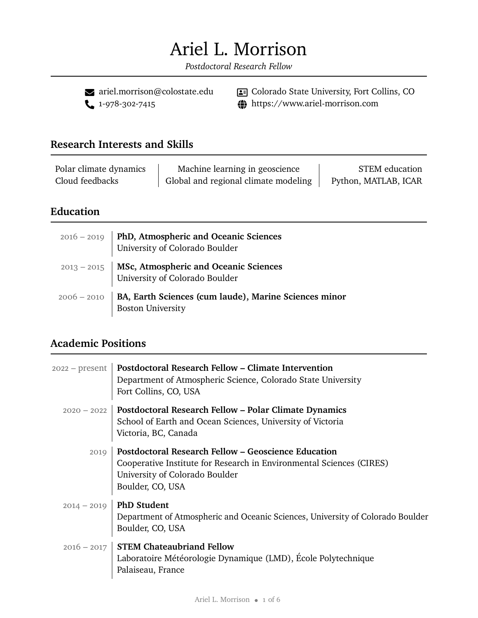# Ariel L. Morrison

*Postdoctoral Research Fellow*

 $\bullet$ [ariel.morrison@colostate.edu](mailto:ariel.morrison@colostate.edu)<br> $\bullet$ 1-978-302-7415

 Colorado State University, Fort Collins, CO  $\bigoplus$  https://www.ariel-morrison.com

#### **Research Interests and Skills**

| Polar climate dynamics | Machine learning in geoscience       | <b>STEM</b> education |
|------------------------|--------------------------------------|-----------------------|
| Cloud feedbacks        | Global and regional climate modeling | Python, MATLAB, ICAR  |

#### **Education**

| 2016 - 2019   PhD, Atmospheric and Oceanic Sciences<br>University of Colorado Boulder           |
|-------------------------------------------------------------------------------------------------|
| 2013 - 2015   MSc, Atmospheric and Oceanic Sciences<br>University of Colorado Boulder           |
| 2006 - 2010   BA, Earth Sciences (cum laude), Marine Sciences minor<br><b>Boston University</b> |

## **Academic Positions**

| $2022 - present$ | Postdoctoral Research Fellow – Climate Intervention<br>Department of Atmospheric Science, Colorado State University<br>Fort Collins, CO, USA                                             |
|------------------|------------------------------------------------------------------------------------------------------------------------------------------------------------------------------------------|
| $2020 - 2022$    | <b>Postdoctoral Research Fellow – Polar Climate Dynamics</b><br>School of Earth and Ocean Sciences, University of Victoria<br>Victoria, BC, Canada                                       |
| 2019             | <b>Postdoctoral Research Fellow – Geoscience Education</b><br>Cooperative Institute for Research in Environmental Sciences (CIRES)<br>University of Colorado Boulder<br>Boulder, CO, USA |
| $2014 - 2019$    | <b>PhD Student</b><br>Department of Atmospheric and Oceanic Sciences, University of Colorado Boulder<br>Boulder, CO, USA                                                                 |
|                  | $2016 - 2017$ STEM Chateaubriand Fellow<br>Laboratoire Météorologie Dynamique (LMD), École Polytechnique<br>Palaiseau, France                                                            |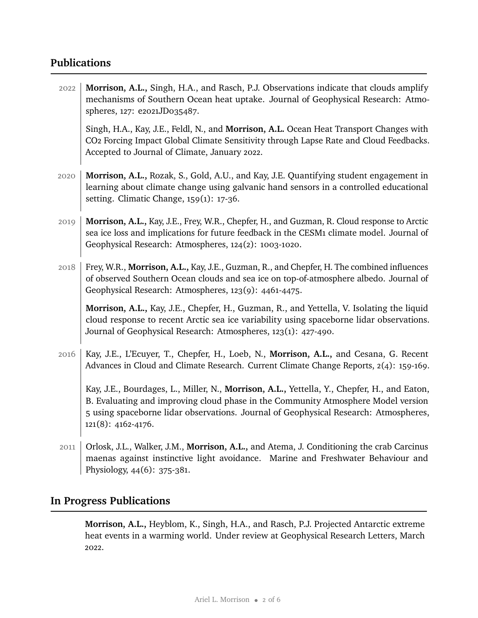## **Publications**

| 2022 | Morrison, A.L., Singh, H.A., and Rasch, P.J. Observations indicate that clouds amplify<br>mechanisms of Southern Ocean heat uptake. Journal of Geophysical Research: Atmo-<br>spheres, 127: e2021JD035487.                                                                                     |
|------|------------------------------------------------------------------------------------------------------------------------------------------------------------------------------------------------------------------------------------------------------------------------------------------------|
|      | Singh, H.A., Kay, J.E., Feldl, N., and Morrison, A.L. Ocean Heat Transport Changes with<br>CO2 Forcing Impact Global Climate Sensitivity through Lapse Rate and Cloud Feedbacks.<br>Accepted to Journal of Climate, January 2022.                                                              |
| 2020 | Morrison, A.L., Rozak, S., Gold, A.U., and Kay, J.E. Quantifying student engagement in<br>learning about climate change using galvanic hand sensors in a controlled educational<br>setting. Climatic Change, 159(1): 17-36.                                                                    |
| 2019 | Morrison, A.L., Kay, J.E., Frey, W.R., Chepfer, H., and Guzman, R. Cloud response to Arctic<br>sea ice loss and implications for future feedback in the CESM1 climate model. Journal of<br>Geophysical Research: Atmospheres, 124(2): 1003-1020.                                               |
| 2018 | Frey, W.R., Morrison, A.L., Kay, J.E., Guzman, R., and Chepfer, H. The combined influences<br>of observed Southern Ocean clouds and sea ice on top-of-atmosphere albedo. Journal of<br>Geophysical Research: Atmospheres, 123(9): 4461-4475.                                                   |
|      | Morrison, A.L., Kay, J.E., Chepfer, H., Guzman, R., and Yettella, V. Isolating the liquid<br>cloud response to recent Arctic sea ice variability using spaceborne lidar observations.<br>Journal of Geophysical Research: Atmospheres, 123(1): 427-490.                                        |
| 2016 | Kay, J.E., L'Ecuyer, T., Chepfer, H., Loeb, N., Morrison, A.L., and Cesana, G. Recent<br>Advances in Cloud and Climate Research. Current Climate Change Reports, 2(4): 159-169.                                                                                                                |
|      | Kay, J.E., Bourdages, L., Miller, N., Morrison, A.L., Yettella, Y., Chepfer, H., and Eaton,<br>B. Evaluating and improving cloud phase in the Community Atmosphere Model version<br>5 using spaceborne lidar observations. Journal of Geophysical Research: Atmospheres,<br>121(8): 4162-4176. |
| 2011 | Orlosk, J.L., Walker, J.M., Morrison, A.L., and Atema, J. Conditioning the crab Carcinus<br>maenas against instinctive light avoidance. Marine and Freshwater Behaviour and<br>Physiology, 44(6): 375-381.                                                                                     |

## **In Progress Publications**

**Morrison, A.L.,** Heyblom, K., Singh, H.A., and Rasch, P.J. Projected Antarctic extreme heat events in a warming world. Under review at Geophysical Research Letters, March 2022.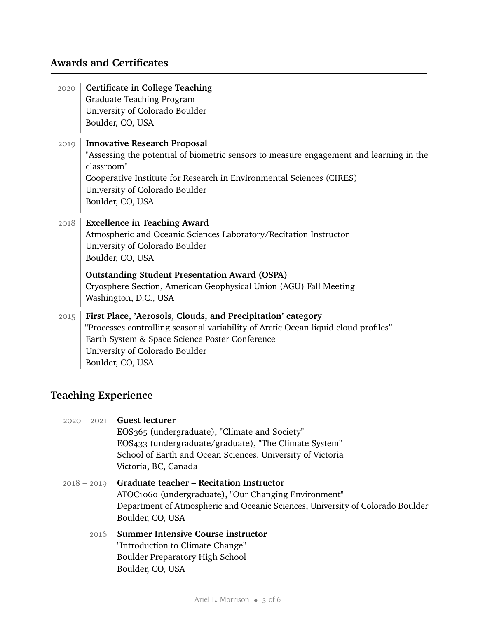## **Awards and Certificates**

| 2020 | <b>Certificate in College Teaching</b><br>Graduate Teaching Program<br>University of Colorado Boulder<br>Boulder, CO, USA                                                                                                                                                  |
|------|----------------------------------------------------------------------------------------------------------------------------------------------------------------------------------------------------------------------------------------------------------------------------|
| 2019 | <b>Innovative Research Proposal</b><br>"Assessing the potential of biometric sensors to measure engagement and learning in the<br>classroom"<br>Cooperative Institute for Research in Environmental Sciences (CIRES)<br>University of Colorado Boulder<br>Boulder, CO, USA |
| 2018 | <b>Excellence in Teaching Award</b><br>Atmospheric and Oceanic Sciences Laboratory/Recitation Instructor<br>University of Colorado Boulder<br>Boulder, CO, USA                                                                                                             |
|      | <b>Outstanding Student Presentation Award (OSPA)</b><br>Cryosphere Section, American Geophysical Union (AGU) Fall Meeting<br>Washington, D.C., USA                                                                                                                         |
| 2015 | First Place, 'Aerosols, Clouds, and Precipitation' category<br>"Processes controlling seasonal variability of Arctic Ocean liquid cloud profiles"<br>Earth System & Space Science Poster Conference<br>University of Colorado Boulder<br>Boulder, CO, USA                  |

## **Teaching Experience**

| $2020 - 2021$ | <b>Guest lecturer</b><br>EOS365 (undergraduate), "Climate and Society"<br>EOS433 (undergraduate/graduate), "The Climate System"<br>School of Earth and Ocean Sciences, University of Victoria<br>Victoria, BC, Canada |
|---------------|-----------------------------------------------------------------------------------------------------------------------------------------------------------------------------------------------------------------------|
| $2018 - 2019$ | <b>Graduate teacher - Recitation Instructor</b><br>ATOC1060 (undergraduate), "Our Changing Environment"<br>Department of Atmospheric and Oceanic Sciences, University of Colorado Boulder<br>Boulder, CO, USA         |
| 2016          | <b>Summer Intensive Course instructor</b><br>"Introduction to Climate Change"<br><b>Boulder Preparatory High School</b><br>Boulder, CO, USA                                                                           |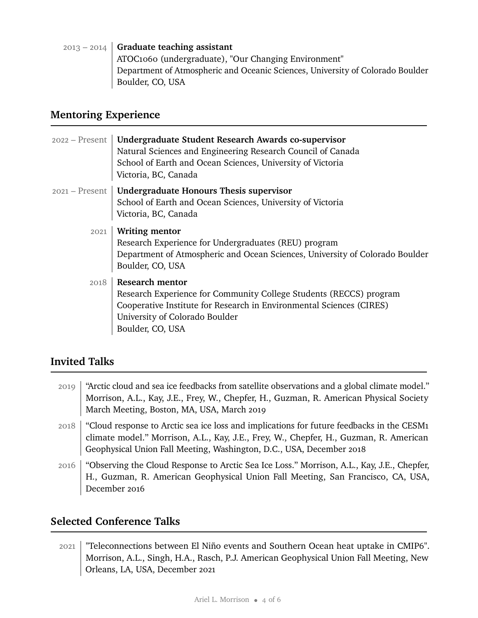| $2013 - 2014$ Graduate teaching assistant                                      |
|--------------------------------------------------------------------------------|
| ATOC1060 (undergraduate), "Our Changing Environment"                           |
| Department of Atmospheric and Oceanic Sciences, University of Colorado Boulder |
| Boulder, CO, USA                                                               |

## **Mentoring Experience**

| $2022 -$ Present | Undergraduate Student Research Awards co-supervisor<br>Natural Sciences and Engineering Research Council of Canada<br>School of Earth and Ocean Sciences, University of Victoria<br>Victoria, BC, Canada                   |
|------------------|----------------------------------------------------------------------------------------------------------------------------------------------------------------------------------------------------------------------------|
| $2021 -$ Present | Undergraduate Honours Thesis supervisor<br>School of Earth and Ocean Sciences, University of Victoria<br>Victoria, BC, Canada                                                                                              |
| 2021             | <b>Writing mentor</b><br>Research Experience for Undergraduates (REU) program<br>Department of Atmospheric and Ocean Sciences, University of Colorado Boulder<br>Boulder, CO, USA                                          |
| 2018             | <b>Research mentor</b><br>Research Experience for Community College Students (RECCS) program<br>Cooperative Institute for Research in Environmental Sciences (CIRES)<br>University of Colorado Boulder<br>Boulder, CO, USA |

#### **Invited Talks**

| 2019 | "Arctic cloud and sea ice feedbacks from satellite observations and a global climate model."<br>Morrison, A.L., Kay, J.E., Frey, W., Chepfer, H., Guzman, R. American Physical Society<br>March Meeting, Boston, MA, USA, March 2019                       |
|------|------------------------------------------------------------------------------------------------------------------------------------------------------------------------------------------------------------------------------------------------------------|
| 2018 | "Cloud response to Arctic sea ice loss and implications for future feedbacks in the CESM1<br>climate model." Morrison, A.L., Kay, J.E., Frey, W., Chepfer, H., Guzman, R. American<br>Geophysical Union Fall Meeting, Washington, D.C., USA, December 2018 |
| 2016 | "Observing the Cloud Response to Arctic Sea Ice Loss." Morrison, A.L., Kay, J.E., Chepfer,<br>H., Guzman, R. American Geophysical Union Fall Meeting, San Francisco, CA, USA,<br>December 2016                                                             |

## **Selected Conference Talks**

2021 "Teleconnections between El Niño events and Southern Ocean heat uptake in CMIP6". Morrison, A.L., Singh, H.A., Rasch, P.J. American Geophysical Union Fall Meeting, New Orleans, LA, USA, December 2021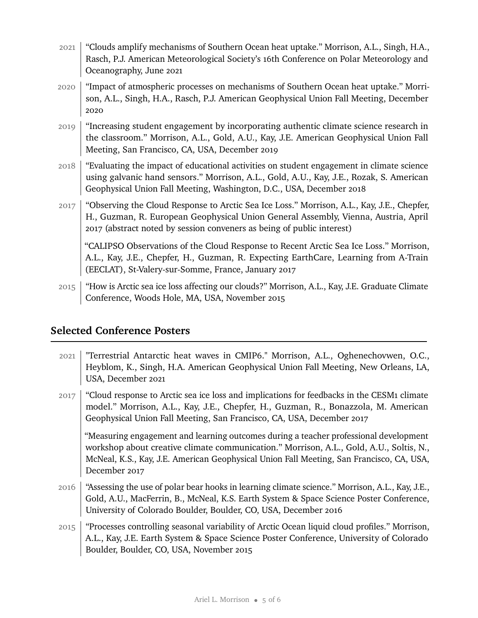- 2021 | "Clouds amplify mechanisms of Southern Ocean heat uptake." Morrison, A.L., Singh, H.A., Rasch, P.J. American Meteorological Society's 16th Conference on Polar Meteorology and Oceanography, June 2021
- 2020 "Impact of atmospheric processes on mechanisms of Southern Ocean heat uptake." Morrison, A.L., Singh, H.A., Rasch, P.J. American Geophysical Union Fall Meeting, December 2020
- 2019 | "Increasing student engagement by incorporating authentic climate science research in the classroom." Morrison, A.L., Gold, A.U., Kay, J.E. American Geophysical Union Fall Meeting, San Francisco, CA, USA, December 2019
- 2018 "Evaluating the impact of educational activities on student engagement in climate science using galvanic hand sensors." Morrison, A.L., Gold, A.U., Kay, J.E., Rozak, S. American Geophysical Union Fall Meeting, Washington, D.C., USA, December 2018
- $2017$  "Observing the Cloud Response to Arctic Sea Ice Loss." Morrison, A.L., Kay, J.E., Chepfer, H., Guzman, R. European Geophysical Union General Assembly, Vienna, Austria, April 2017 (abstract noted by session conveners as being of public interest)

"CALIPSO Observations of the Cloud Response to Recent Arctic Sea Ice Loss." Morrison, A.L., Kay, J.E., Chepfer, H., Guzman, R. Expecting EarthCare, Learning from A-Train (EECLAT), St-Valery-sur-Somme, France, January 2017

2015 "How is Arctic sea ice loss affecting our clouds?" Morrison, A.L., Kay, J.E. Graduate Climate Conference, Woods Hole, MA, USA, November 2015

#### **Selected Conference Posters**

- 2021 "Terrestrial Antarctic heat waves in CMIP6." Morrison, A.L., Oghenechovwen, O.C., Heyblom, K., Singh, H.A. American Geophysical Union Fall Meeting, New Orleans, LA, USA, December 2021
- $2017$  "Cloud response to Arctic sea ice loss and implications for feedbacks in the CESM1 climate model." Morrison, A.L., Kay, J.E., Chepfer, H., Guzman, R., Bonazzola, M. American Geophysical Union Fall Meeting, San Francisco, CA, USA, December 2017

"Measuring engagement and learning outcomes during a teacher professional development workshop about creative climate communication." Morrison, A.L., Gold, A.U., Soltis, N., McNeal, K.S., Kay, J.E. American Geophysical Union Fall Meeting, San Francisco, CA, USA, December 2017

- 2016 "Assessing the use of polar bear hooks in learning climate science." Morrison, A.L., Kay, J.E., Gold, A.U., MacFerrin, B., McNeal, K.S. Earth System & Space Science Poster Conference, University of Colorado Boulder, Boulder, CO, USA, December 2016
- 2015 | "Processes controlling seasonal variability of Arctic Ocean liquid cloud profiles." Morrison, A.L., Kay, J.E. Earth System & Space Science Poster Conference, University of Colorado Boulder, Boulder, CO, USA, November 2015